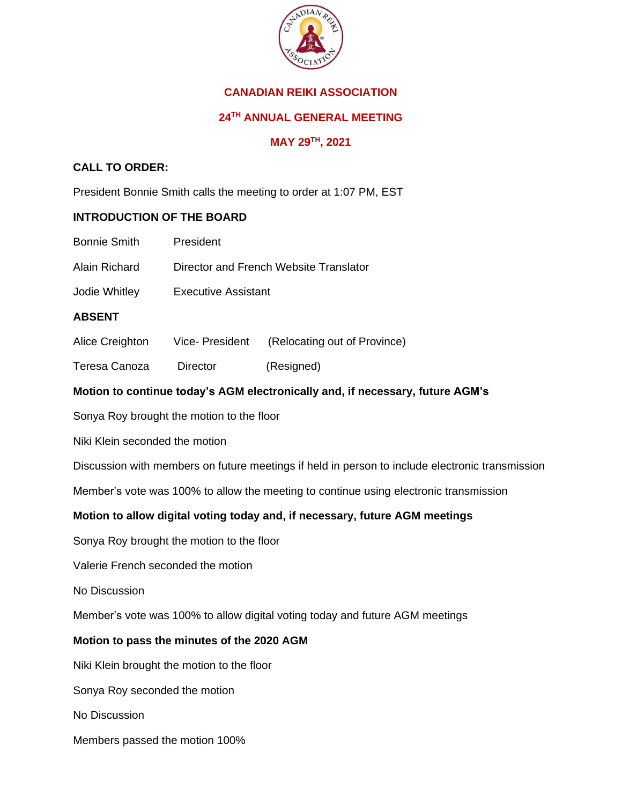

# **CANADIAN REIKI ASSOCIATION**

# **24TH ANNUAL GENERAL MEETING**

# **MAY 29TH, 2021**

# **CALL TO ORDER:**

President Bonnie Smith calls the meeting to order at 1:07 PM, EST

## **INTRODUCTION OF THE BOARD**

- Bonnie Smith President
- Alain Richard Director and French Website Translator
- Jodie Whitley Executive Assistant

### **ABSENT**

- Alice Creighton Vice- President (Relocating out of Province)
- Teresa Canoza Director (Resigned)

## **Motion to continue today's AGM electronically and, if necessary, future AGM's**

Sonya Roy brought the motion to the floor

Niki Klein seconded the motion

Discussion with members on future meetings if held in person to include electronic transmission

Member's vote was 100% to allow the meeting to continue using electronic transmission

## **Motion to allow digital voting today and, if necessary, future AGM meetings**

Sonya Roy brought the motion to the floor

Valerie French seconded the motion

No Discussion

Member's vote was 100% to allow digital voting today and future AGM meetings

#### **Motion to pass the minutes of the 2020 AGM**

Niki Klein brought the motion to the floor

Sonya Roy seconded the motion

No Discussion

Members passed the motion 100%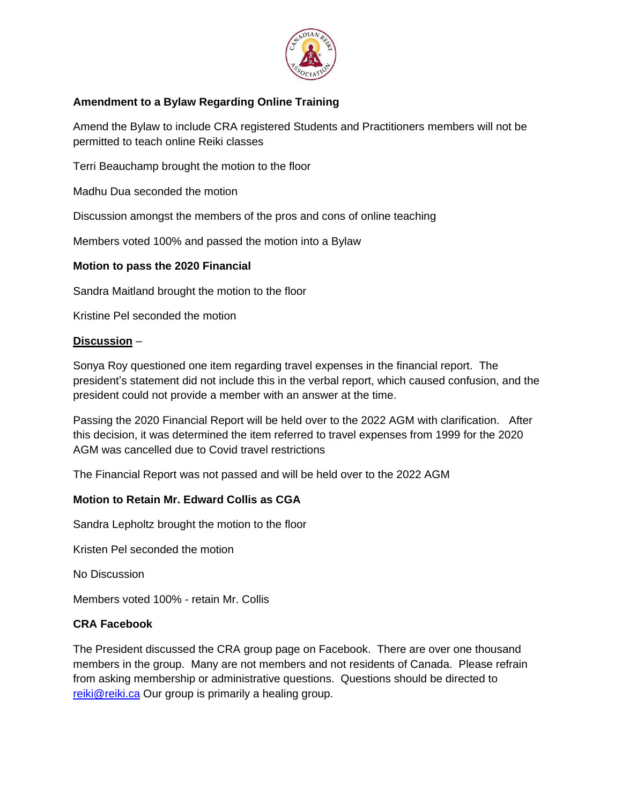

# **Amendment to a Bylaw Regarding Online Training**

Amend the Bylaw to include CRA registered Students and Practitioners members will not be permitted to teach online Reiki classes

Terri Beauchamp brought the motion to the floor

Madhu Dua seconded the motion

Discussion amongst the members of the pros and cons of online teaching

Members voted 100% and passed the motion into a Bylaw

### **Motion to pass the 2020 Financial**

Sandra Maitland brought the motion to the floor

Kristine Pel seconded the motion

### **Discussion** –

Sonya Roy questioned one item regarding travel expenses in the financial report. The president's statement did not include this in the verbal report, which caused confusion, and the president could not provide a member with an answer at the time.

Passing the 2020 Financial Report will be held over to the 2022 AGM with clarification. After this decision, it was determined the item referred to travel expenses from 1999 for the 2020 AGM was cancelled due to Covid travel restrictions

The Financial Report was not passed and will be held over to the 2022 AGM

## **Motion to Retain Mr. Edward Collis as CGA**

Sandra Lepholtz brought the motion to the floor

Kristen Pel seconded the motion

No Discussion

Members voted 100% - retain Mr. Collis

#### **CRA Facebook**

The President discussed the CRA group page on Facebook. There are over one thousand members in the group. Many are not members and not residents of Canada. Please refrain from asking membership or administrative questions. Questions should be directed to [reiki@reiki.ca](mailto:reiki@reiki.ca) Our group is primarily a healing group.